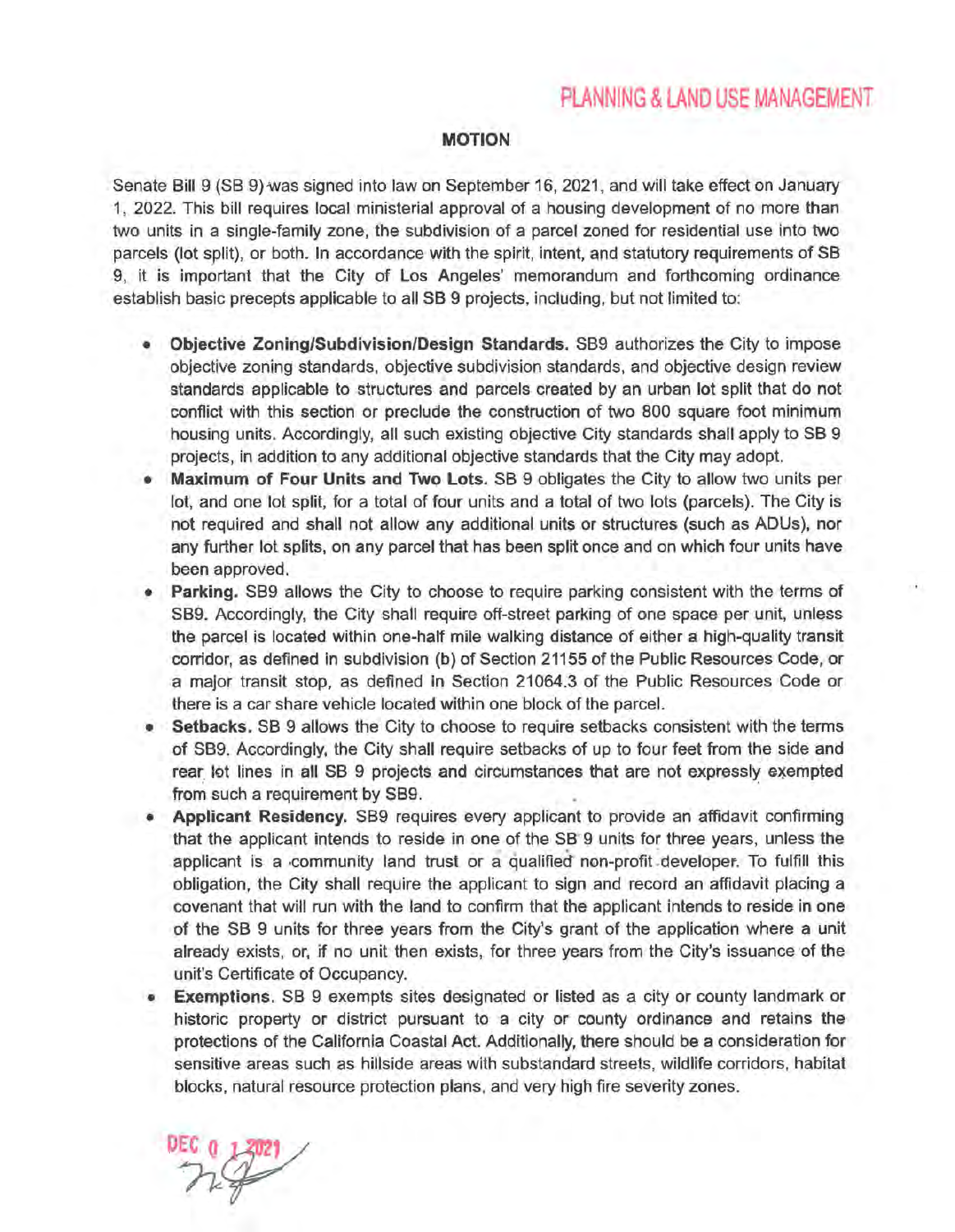## PLANNING & LAND USE MANAGEMENT

## MOTION

Senate Bill 9 (SB 9) was signed into law on September 16, 2021, and will take effect on January 1, 2022. This bill requires local ministerial approval of a housing development of no more than two units in a single-family zone, the subdivision of a parcel zoned for residential use into two parcels (lot split), or both. In accordance with the spirit, intent, and statutory requirements of SB 9, it is important that the City of Los Angeles' memorandum and forthcoming ordinance establish basic precepts applicable to all SB 9 projects, including, but not limited to:

- Objective Zoning/Subdivision/Design Standards. 889 authorizes the City to impose objective zoning standards, objective subdivision standards, and objective design review standards applicable to structures and parcels created by an urban lot split that do not conflict with this section or preclude the construction of two 800 square foot minimum housing units. Accordingly, all such existing objective City standards shall apply to SB 9 projects, in addition to any additional objective standards that the City may adopt.
- Maximum of Four Units and Two Lots. SB 9 obligates the City to allow two units per lot, and one lot split, for a total of four units and a total of two lots (parcels). The City is not required and shall not allow any additional units or structures (such as ADUs), nor any further lot splits, on any parcel that has been split once and on which four units have been approved.
- Parking. SB9 allows the City to choose to require parking consistent with the terms of SB9. Accordingly, the City shall require off-street parking of one space per unit, unless the parcel is located within one-half mile walking distance of either a high-quality transit corridor, as defined in subdivision (b) of Section 21155 of the Public Resources Code, or a major transit stop, as defined in Section 21064.3 of the Public Resources Code or there is a car share vehicle located within one block of the parcel.
- Setbacks. SB 9 allows the City to choose to require setbacks consistent with the terms of SB9. Accordingly, the City shall require setbacks of up to four feet from the side and rear lot lines in all SB 9 projects and circumstances that are not expressly exempted from such a requirement by SB9.
- Applicant Residency. SB9 requires every applicant to provide an affidavit confirming that the applicant intends to reside in one of the SB 9 units for three years, unless the applicant is a community land trust or a qualified non-profit developer. To fulfill this obligation, the City shall require the applicant to sign and record an affidavit placing a covenant that will run with the land to confirm that the applicant intends to reside in one of the SB 9 units for three years from the City's grant of the application where a unit already exists, or, if no unit then exists, for three years from the City's issuance of the unit's Certificate of Occupancy.
- Exemptions. SB 9 exempts sites designated or listed as a city or county landmark or historic property or district pursuant to a city or county ordinance and retains the protections of the California Coastal Act. Additionally, there should be a consideration for sensitive areas such as hillside areas with substandard streets, wildlife corridors, habitat blocks, natural resource protection plans, and very high fire severity zones.

 $DEC_0$ <sub>1</sub>3021 EC 0 13021